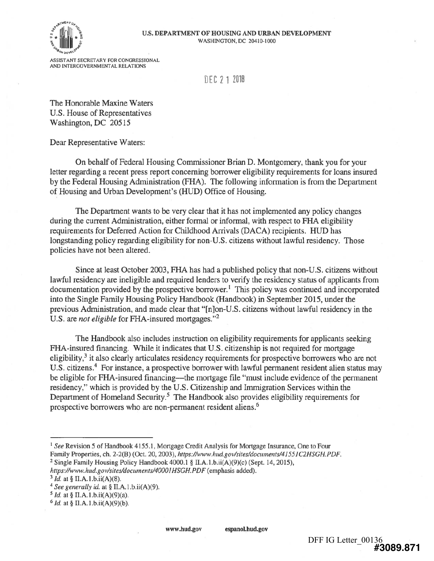



ASSISTANT SECRETARY FOR CONGRESSIONAL AND INTERGOVERNMENTAL RELATIONS

DEC 2 1 2010

The Honorable Maxine Waters U.S. House of Representatives Washington, DC 20515

Dear Representative Waters:

On behalf of Federal Housing Commissioner Brian D. Montgomery, thank you for your letter regarding a recent press report concerning borrower eligibility requirements for loans insured by the Federal Housing Administration (FHA). The following information is from the Department of Housing and Urban Development's (HUD) Office of Housing.

The Department wants to be very clear that it has not implemented any policy changes during the current Administration, either formal or informal, with respect to FHA eligibility requirements for Deferred Action for Childhood Arrivals (DACA) recipients. HUD has longstanding policy regarding eligibility for non-U.S. citizens without lawful residency. Those policies have not been altered.

Since at least October 2003, FHA has had a published policy that non-U.S. citizens without lawful residency are ineligible and required lenders to verify the residency status of applicants from documentation provided by the prospective borrower.' This policy was continued and incorporated into the Single Family Housing Policy Handbook (Handbook) in September 2015, under the previous Administration, and made clear that "[n]on-U.S. citizens without lawful residency in the U.S. are not eligible for FHA-insured mortgages."<sup>2</sup>

The Handbook also includes instruction on eligibility requirements for applicants seeking FHA-insured financing. While it indicates that U.S. citizenship is not required for mortgage eligibility,<sup>3</sup> it also clearly articulates residency requirements for prospective borrowers who are not U.S. citizens.<sup>4</sup> For instance, a prospective borrower with lawful permanent resident alien status may be eligible for FHA-insured financing—the mortgage file "must include evidence of the permanent residency," which is provided by the U.S. Citizenship and Immigration Services within the Department of Homeland Security.<sup>5</sup> The Handbook also provides eligibility requirements for prospective borrowers who are non-permanent resident aliens.6

<sup>1</sup> See Revision 5 of Handbook 4155.1, Mortgage Credit Analysis for Mortgage Insurance, One to Four Family Properties, ch. 2-2(B) (Oct. 20, 2003), https://www.hud.gov/sites/documents/41551C2HSGH.PDF.

<sup>2</sup> Single Family Housing Policy Handbook  $4000.1 \S$  II.A.1.b.ii(A)(9)(c) (Sept. 14, 2015),

https://www.hud.gov/sites/documents/40001HSGH.PDF (emphasis added).

 $3$  *Id.* at § II.A.1.b.ii(A)(8).

 $4$  See generally id. at § II.A.1.b.ii(A)(9).

 $5$  *Id.* at § II.A.1.b.ii(A)(9)(a).

 $6$  *Id.* at § II.A.1.b.ii(A)(9)(b).